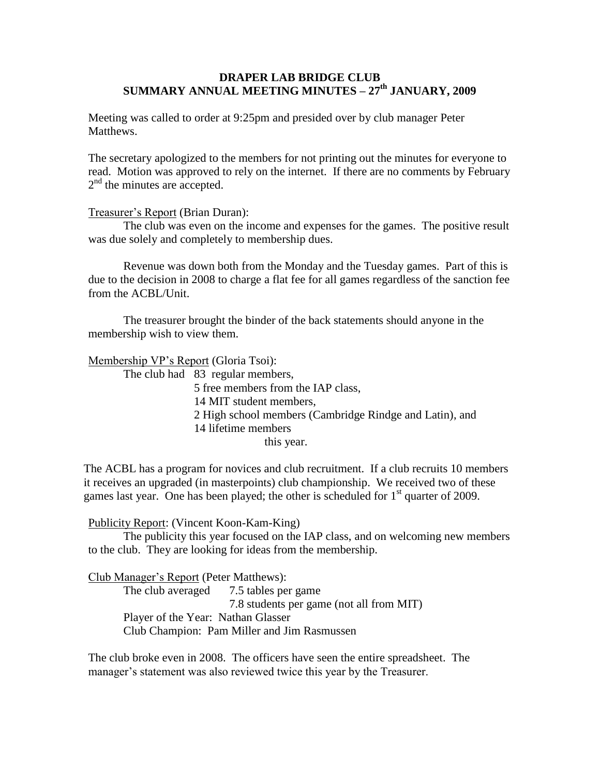## **DRAPER LAB BRIDGE CLUB SUMMARY ANNUAL MEETING MINUTES – 27th JANUARY, 2009**

Meeting was called to order at 9:25pm and presided over by club manager Peter Matthews.

The secretary apologized to the members for not printing out the minutes for everyone to read. Motion was approved to rely on the internet. If there are no comments by February 2<sup>nd</sup> the minutes are accepted.

### Treasurer's Report (Brian Duran):

The club was even on the income and expenses for the games. The positive result was due solely and completely to membership dues.

Revenue was down both from the Monday and the Tuesday games. Part of this is due to the decision in 2008 to charge a flat fee for all games regardless of the sanction fee from the ACBL/Unit.

The treasurer brought the binder of the back statements should anyone in the membership wish to view them.

Membership VP's Report (Gloria Tsoi):

The club had 83 regular members,

5 free members from the IAP class,

14 MIT student members,

2 High school members (Cambridge Rindge and Latin), and

14 lifetime members

this year.

The ACBL has a program for novices and club recruitment. If a club recruits 10 members it receives an upgraded (in masterpoints) club championship. We received two of these games last year. One has been played; the other is scheduled for  $1<sup>st</sup>$  quarter of 2009.

#### Publicity Report: (Vincent Koon-Kam-King)

The publicity this year focused on the IAP class, and on welcoming new members to the club. They are looking for ideas from the membership.

#### Club Manager's Report (Peter Matthews):

The club averaged 7.5 tables per game 7.8 students per game (not all from MIT) Player of the Year: Nathan Glasser Club Champion: Pam Miller and Jim Rasmussen

The club broke even in 2008. The officers have seen the entire spreadsheet. The manager's statement was also reviewed twice this year by the Treasurer.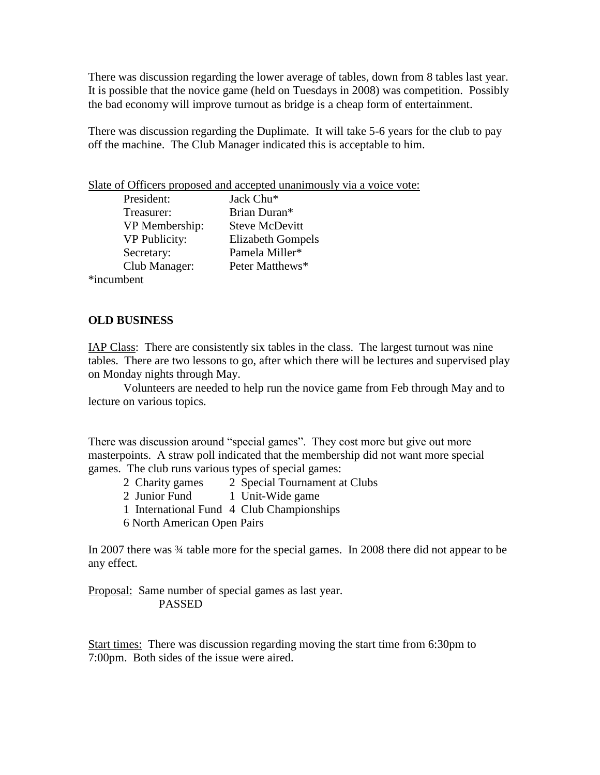There was discussion regarding the lower average of tables, down from 8 tables last year. It is possible that the novice game (held on Tuesdays in 2008) was competition. Possibly the bad economy will improve turnout as bridge is a cheap form of entertainment.

There was discussion regarding the Duplimate. It will take 5-6 years for the club to pay off the machine. The Club Manager indicated this is acceptable to him.

Slate of Officers proposed and accepted unanimously via a voice vote:

| President:           | Jack Chu <sup>*</sup>    |
|----------------------|--------------------------|
| Treasurer:           | Brian Duran*             |
| VP Membership:       | Steve McDevitt           |
| <b>VP</b> Publicity: | <b>Elizabeth Gompels</b> |
| Secretary:           | Pamela Miller*           |
| Club Manager:        | Peter Matthews*          |
| *incumbent           |                          |

**OLD BUSINESS**

IAP Class: There are consistently six tables in the class. The largest turnout was nine tables. There are two lessons to go, after which there will be lectures and supervised play on Monday nights through May.

Volunteers are needed to help run the novice game from Feb through May and to lecture on various topics.

There was discussion around "special games". They cost more but give out more masterpoints. A straw poll indicated that the membership did not want more special games. The club runs various types of special games:

- 2 Charity games 2 Special Tournament at Clubs
- 2 Junior Fund 1 Unit-Wide game
- 1 International Fund 4 Club Championships
- 6 North American Open Pairs

In 2007 there was  $\frac{3}{4}$  table more for the special games. In 2008 there did not appear to be any effect.

Proposal: Same number of special games as last year. PASSED

Start times: There was discussion regarding moving the start time from 6:30pm to 7:00pm. Both sides of the issue were aired.